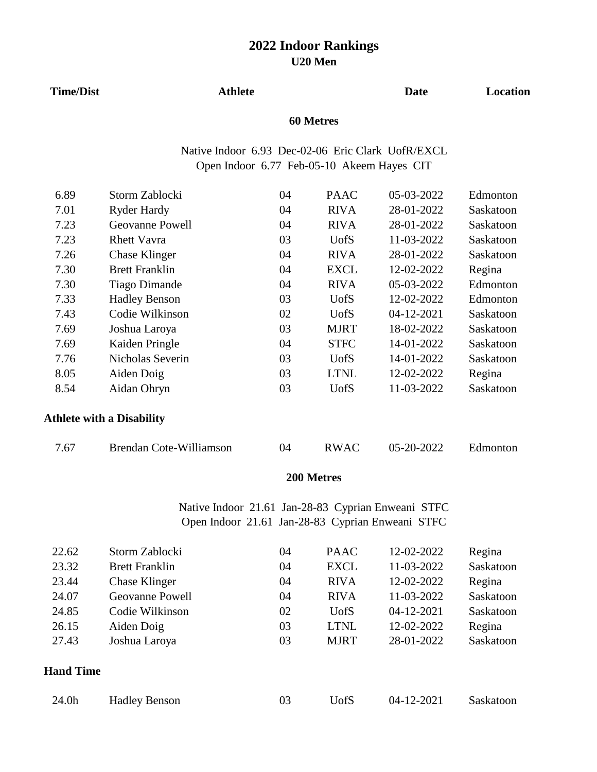#### **Time/Dist Athlete**

## **Date Location**

## **60 Metres**

Native Indoor 6.93 Dec-02-06 Eric Clark UofR/EXCL Open Indoor 6.77 Feb-05-10 Akeem Hayes CIT

| 6.89 | Storm Zablocki                   | 04 | <b>PAAC</b> | 05-03-2022 | Edmonton  |
|------|----------------------------------|----|-------------|------------|-----------|
| 7.01 | Ryder Hardy                      | 04 | <b>RIVA</b> | 28-01-2022 | Saskatoon |
| 7.23 | <b>Geovanne Powell</b>           | 04 | <b>RIVA</b> | 28-01-2022 | Saskatoon |
| 7.23 | <b>Rhett Vavra</b>               | 03 | <b>UofS</b> | 11-03-2022 | Saskatoon |
| 7.26 | <b>Chase Klinger</b>             | 04 | <b>RIVA</b> | 28-01-2022 | Saskatoon |
| 7.30 | <b>Brett Franklin</b>            | 04 | <b>EXCL</b> | 12-02-2022 | Regina    |
| 7.30 | <b>Tiago Dimande</b>             | 04 | <b>RIVA</b> | 05-03-2022 | Edmonton  |
| 7.33 | <b>Hadley Benson</b>             | 03 | <b>UofS</b> | 12-02-2022 | Edmonton  |
| 7.43 | Codie Wilkinson                  | 02 | <b>UofS</b> | 04-12-2021 | Saskatoon |
| 7.69 | Joshua Laroya                    | 03 | <b>MJRT</b> | 18-02-2022 | Saskatoon |
| 7.69 | Kaiden Pringle                   | 04 | <b>STFC</b> | 14-01-2022 | Saskatoon |
| 7.76 | Nicholas Severin                 | 03 | <b>UofS</b> | 14-01-2022 | Saskatoon |
| 8.05 | Aiden Doig                       | 03 | <b>LTNL</b> | 12-02-2022 | Regina    |
| 8.54 | Aidan Ohryn                      | 03 | <b>UofS</b> | 11-03-2022 | Saskatoon |
|      | <b>Athlete with a Disability</b> |    |             |            |           |
| 7.67 | Brendan Cote-Williamson          | 04 | <b>RWAC</b> | 05-20-2022 | Edmonton  |

## **200 Metres**

Open Indoor 21.61 Jan-28-83 Cyprian Enweani STFC Native Indoor 21.61 Jan-28-83 Cyprian Enweani STFC

| 22.62            | Storm Zablocki        | 04 | <b>PAAC</b> | 12-02-2022       | Regina    |
|------------------|-----------------------|----|-------------|------------------|-----------|
| 23.32            | <b>Brett Franklin</b> | 04 | <b>EXCL</b> | 11-03-2022       | Saskatoon |
| 23.44            | Chase Klinger         | 04 | <b>RIVA</b> | 12-02-2022       | Regina    |
| 24.07            | Geovanne Powell       | 04 | <b>RIVA</b> | 11-03-2022       | Saskatoon |
| 24.85            | Codie Wilkinson       | 02 | <b>UofS</b> | $04 - 12 - 2021$ | Saskatoon |
| 26.15            | Aiden Doig            | 03 | <b>LTNL</b> | 12-02-2022       | Regina    |
| 27.43            | Joshua Laroya         | 03 | <b>MJRT</b> | 28-01-2022       | Saskatoon |
| <b>Hand Time</b> |                       |    |             |                  |           |
| 24.0h            | <b>Hadley Benson</b>  | 03 | <b>UofS</b> | 04-12-2021       | Saskatoon |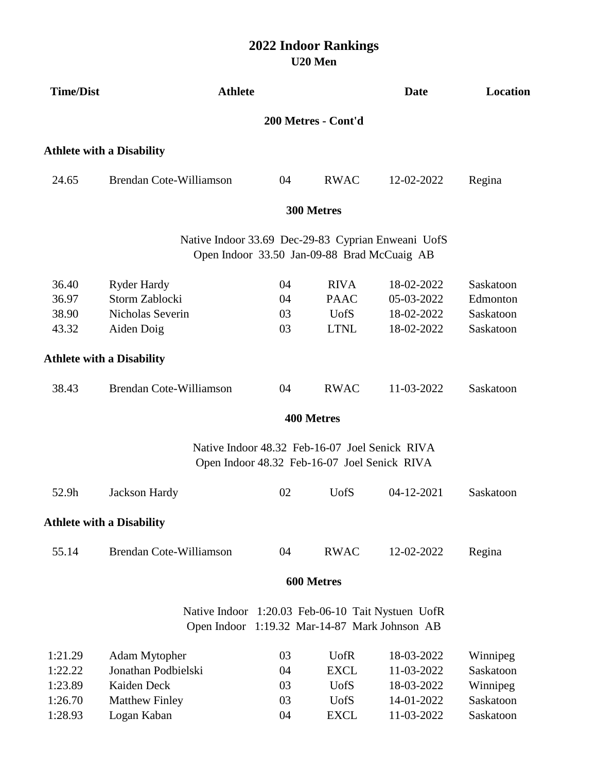| <b>Time/Dist</b> | <b>Athlete</b>                                     |    |                                                                                                | Date       | Location  |
|------------------|----------------------------------------------------|----|------------------------------------------------------------------------------------------------|------------|-----------|
|                  |                                                    |    | 200 Metres - Cont'd                                                                            |            |           |
|                  | <b>Athlete with a Disability</b>                   |    |                                                                                                |            |           |
| 24.65            | Brendan Cote-Williamson                            | 04 | <b>RWAC</b>                                                                                    | 12-02-2022 | Regina    |
|                  |                                                    |    | 300 Metres                                                                                     |            |           |
|                  | Native Indoor 33.69 Dec-29-83 Cyprian Enweani UofS |    | Open Indoor 33.50 Jan-09-88 Brad McCuaig AB                                                    |            |           |
| 36.40            | <b>Ryder Hardy</b>                                 | 04 | <b>RIVA</b>                                                                                    | 18-02-2022 | Saskatoon |
| 36.97            | Storm Zablocki                                     | 04 | <b>PAAC</b>                                                                                    | 05-03-2022 | Edmonton  |
| 38.90            | Nicholas Severin                                   | 03 | <b>UofS</b>                                                                                    | 18-02-2022 | Saskatoon |
| 43.32            | Aiden Doig                                         | 03 | <b>LTNL</b>                                                                                    | 18-02-2022 | Saskatoon |
|                  | <b>Athlete with a Disability</b>                   |    |                                                                                                |            |           |
| 38.43            | Brendan Cote-Williamson                            | 04 | <b>RWAC</b>                                                                                    | 11-03-2022 | Saskatoon |
|                  |                                                    |    | <b>400 Metres</b>                                                                              |            |           |
|                  |                                                    |    | Native Indoor 48.32 Feb-16-07 Joel Senick RIVA<br>Open Indoor 48.32 Feb-16-07 Joel Senick RIVA |            |           |
| 52.9h            | Jackson Hardy                                      | 02 | <b>U</b> ofS                                                                                   | 04-12-2021 | Saskatoon |
|                  | <b>Athlete with a Disability</b>                   |    |                                                                                                |            |           |
| 55.14            | <b>Brendan Cote-Williamson</b>                     | 04 | <b>RWAC</b>                                                                                    | 12-02-2022 | Regina    |
|                  |                                                    |    | 600 Metres                                                                                     |            |           |
|                  | Native Indoor 1:20.03 Feb-06-10 Tait Nystuen UofR  |    |                                                                                                |            |           |
|                  | Open Indoor 1:19.32 Mar-14-87 Mark Johnson AB      |    |                                                                                                |            |           |
| 1:21.29          | Adam Mytopher                                      | 03 | <b>UofR</b>                                                                                    | 18-03-2022 | Winnipeg  |
| 1:22.22          | Jonathan Podbielski                                | 04 | <b>EXCL</b>                                                                                    | 11-03-2022 | Saskatoon |
| 1:23.89          | Kaiden Deck                                        | 03 | <b>UofS</b>                                                                                    | 18-03-2022 | Winnipeg  |
| 1:26.70          | <b>Matthew Finley</b>                              | 03 | <b>UofS</b>                                                                                    | 14-01-2022 | Saskatoon |
| 1:28.93          | Logan Kaban                                        | 04 | <b>EXCL</b>                                                                                    | 11-03-2022 | Saskatoon |
|                  |                                                    |    |                                                                                                |            |           |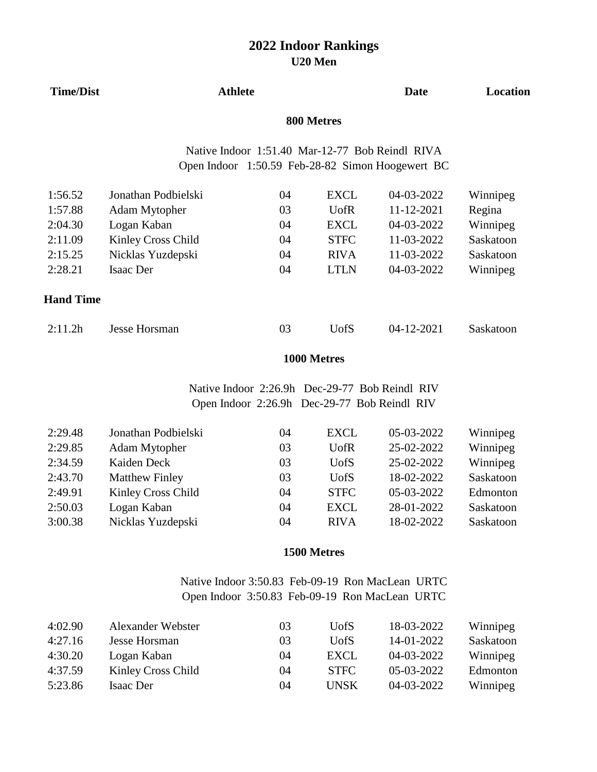| <b>Time/Dist</b>    | <b>Athlete</b>      |    |              | Date                                                                                                | Location  |
|---------------------|---------------------|----|--------------|-----------------------------------------------------------------------------------------------------|-----------|
|                     |                     |    | 800 Metres   |                                                                                                     |           |
|                     |                     |    |              | Native Indoor 1:51.40 Mar-12-77 Bob Reindl RIVA<br>Open Indoor 1:50.59 Feb-28-82 Simon Hoogewert BC |           |
| 1:56.52             | Jonathan Podbielski | 04 | <b>EXCL</b>  | 04-03-2022                                                                                          | Winnipeg  |
| 1:57.88             | Adam Mytopher       | 03 | <b>U</b> ofR | 11-12-2021                                                                                          | Regina    |
| 2:04.30             | Logan Kaban         | 04 | <b>EXCL</b>  | 04-03-2022                                                                                          | Winnipeg  |
| 2:11.09             | Kinley Cross Child  | 04 | <b>STFC</b>  | 11-03-2022                                                                                          | Saskatoon |
| 2:15.25             | Nicklas Yuzdepski   | 04 | <b>RIVA</b>  | 11-03-2022                                                                                          | Saskatoon |
| 2:28.21             | Isaac Der           | 04 | <b>LTLN</b>  | 04-03-2022                                                                                          | Winnipeg  |
| <b>Hand Time</b>    |                     |    |              |                                                                                                     |           |
| 2:11.2 <sub>h</sub> | Jesse Horsman       | 03 | <b>U</b> ofS | 04-12-2021                                                                                          | Saskatoon |

## **1000 Metres**

Native Indoor 2:26.9h Dec-29-77 Bob Reindl RIV Open Indoor 2:26.9h Dec-29-77 Bob Reindl RIV

| 2:29.48 | Jonathan Podbielski   | 04 | <b>EXCL</b>  | 05-03-2022 | Winnipeg  |
|---------|-----------------------|----|--------------|------------|-----------|
| 2:29.85 | Adam Mytopher         | 03 | <b>U</b> ofR | 25-02-2022 | Winnipeg  |
| 2:34.59 | Kaiden Deck           | 03 | <b>U</b> ofS | 25-02-2022 | Winnipeg  |
| 2:43.70 | <b>Matthew Finley</b> | 03 | <b>U</b> ofS | 18-02-2022 | Saskatoon |
| 2:49.91 | Kinley Cross Child    | 04 | <b>STFC</b>  | 05-03-2022 | Edmonton  |
| 2:50.03 | Logan Kaban           | 04 | <b>EXCL</b>  | 28-01-2022 | Saskatoon |
| 3:00.38 | Nicklas Yuzdepski     | 04 | <b>RIVA</b>  | 18-02-2022 | Saskatoon |

## **1500 Metres**

Native Indoor 3:50.83 Feb-09-19 Ron MacLean URTC Open Indoor 3:50.83 Feb-09-19 Ron MacLean URTC

| 4:02.90 | Alexander Webster  | 03 | <b>U</b> ofS | 18-03-2022 | Winnipeg  |
|---------|--------------------|----|--------------|------------|-----------|
| 4:27.16 | Jesse Horsman      | 03 | <b>U</b> ofS | 14-01-2022 | Saskatoon |
| 4:30.20 | Logan Kaban        | 04 | EXCL         | 04-03-2022 | Winnipeg  |
| 4:37.59 | Kinley Cross Child | 04 | <b>STFC</b>  | 05-03-2022 | Edmonton  |
| 5:23.86 | Isaac Der          | 04 | <b>UNSK</b>  | 04-03-2022 | Winnipeg  |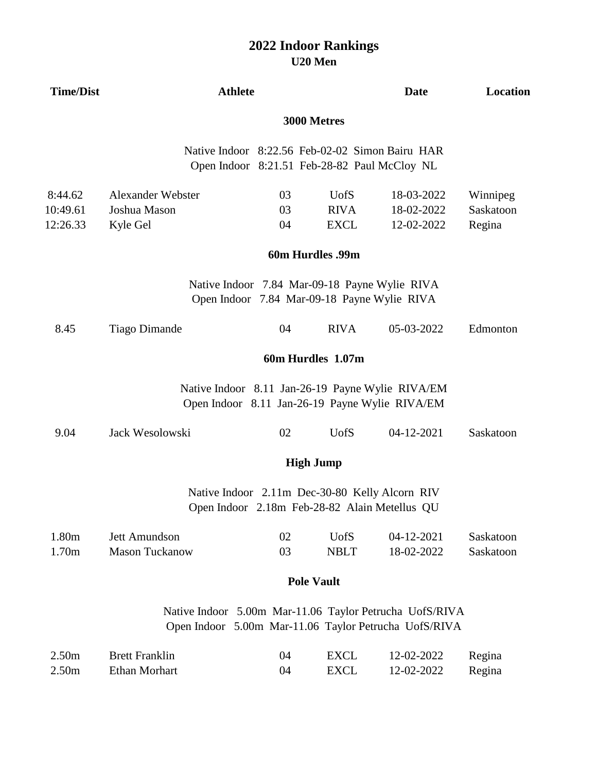# **U20 Men 2022 Indoor Rankings**

| <b>Time/Dist</b>                       | <b>Athlete</b>                                                                                                   |                |                                                                                                    | <b>Date</b>                            | Location                        |
|----------------------------------------|------------------------------------------------------------------------------------------------------------------|----------------|----------------------------------------------------------------------------------------------------|----------------------------------------|---------------------------------|
|                                        |                                                                                                                  |                | 3000 Metres                                                                                        |                                        |                                 |
|                                        |                                                                                                                  |                | Native Indoor 8:22.56 Feb-02-02 Simon Bairu HAR<br>Open Indoor 8:21.51 Feb-28-82 Paul McCloy NL    |                                        |                                 |
| 8:44.62<br>10:49.61<br>12:26.33        | Alexander Webster<br>Joshua Mason<br>Kyle Gel                                                                    | 03<br>03<br>04 | <b>UofS</b><br><b>RIVA</b><br><b>EXCL</b>                                                          | 18-03-2022<br>18-02-2022<br>12-02-2022 | Winnipeg<br>Saskatoon<br>Regina |
|                                        |                                                                                                                  |                | 60m Hurdles .99m                                                                                   |                                        |                                 |
|                                        |                                                                                                                  |                | Native Indoor 7.84 Mar-09-18 Payne Wylie RIVA<br>Open Indoor 7.84 Mar-09-18 Payne Wylie RIVA       |                                        |                                 |
| 8.45                                   | <b>Tiago Dimande</b>                                                                                             | 04             | <b>RIVA</b>                                                                                        | 05-03-2022                             | Edmonton                        |
|                                        |                                                                                                                  |                | 60m Hurdles 1.07m                                                                                  |                                        |                                 |
|                                        |                                                                                                                  |                | Native Indoor 8.11 Jan-26-19 Payne Wylie RIVA/EM<br>Open Indoor 8.11 Jan-26-19 Payne Wylie RIVA/EM |                                        |                                 |
| 9.04                                   | Jack Wesolowski                                                                                                  | 02             | <b>UofS</b>                                                                                        | 04-12-2021                             | Saskatoon                       |
|                                        |                                                                                                                  |                | <b>High Jump</b>                                                                                   |                                        |                                 |
|                                        |                                                                                                                  |                | Native Indoor 2.11m Dec-30-80 Kelly Alcorn RIV<br>Open Indoor 2.18m Feb-28-82 Alain Metellus QU    |                                        |                                 |
| 1.80m<br>1.70m                         | Jett Amundson<br><b>Mason Tuckanow</b>                                                                           | 02<br>03       | <b>UofS</b><br><b>NBLT</b>                                                                         | 04-12-2021<br>18-02-2022               | Saskatoon<br>Saskatoon          |
|                                        |                                                                                                                  |                | <b>Pole Vault</b>                                                                                  |                                        |                                 |
|                                        | Native Indoor 5.00m Mar-11.06 Taylor Petrucha UofS/RIVA<br>Open Indoor 5.00m Mar-11.06 Taylor Petrucha UofS/RIVA |                |                                                                                                    |                                        |                                 |
| 2.50 <sub>m</sub><br>2.50 <sub>m</sub> | <b>Brett Franklin</b><br><b>Ethan Morhart</b>                                                                    | 04<br>04       | <b>EXCL</b><br><b>EXCL</b>                                                                         | 12-02-2022<br>12-02-2022               | Regina<br>Regina                |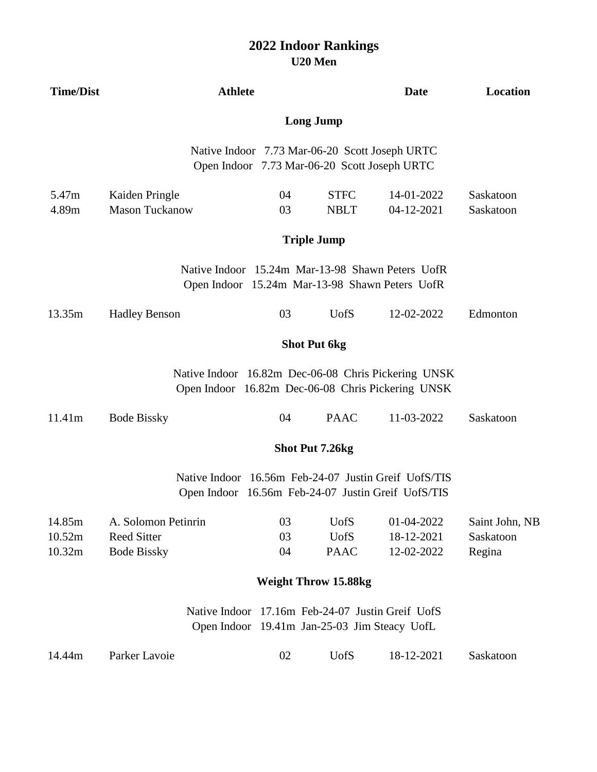| <b>Time/Dist</b>           | <b>Athlete</b>                                                  |                                                                                                |                                           | <b>Date</b>                                                                                                | Location                              |  |
|----------------------------|-----------------------------------------------------------------|------------------------------------------------------------------------------------------------|-------------------------------------------|------------------------------------------------------------------------------------------------------------|---------------------------------------|--|
|                            |                                                                 |                                                                                                | <b>Long Jump</b>                          |                                                                                                            |                                       |  |
|                            |                                                                 | Native Indoor 7.73 Mar-06-20 Scott Joseph URTC<br>Open Indoor 7.73 Mar-06-20 Scott Joseph URTC |                                           |                                                                                                            |                                       |  |
| 5.47m<br>4.89m             | Kaiden Pringle<br><b>Mason Tuckanow</b>                         | 04<br>03                                                                                       | <b>STFC</b><br><b>NBLT</b>                | 14-01-2022<br>04-12-2021                                                                                   | Saskatoon<br>Saskatoon                |  |
|                            |                                                                 |                                                                                                | <b>Triple Jump</b>                        |                                                                                                            |                                       |  |
|                            |                                                                 |                                                                                                |                                           | Native Indoor 15.24m Mar-13-98 Shawn Peters UofR<br>Open Indoor 15.24m Mar-13-98 Shawn Peters UofR         |                                       |  |
| 13.35m                     | <b>Hadley Benson</b>                                            | 03                                                                                             | <b>UofS</b>                               | 12-02-2022                                                                                                 | Edmonton                              |  |
|                            |                                                                 |                                                                                                | <b>Shot Put 6kg</b>                       |                                                                                                            |                                       |  |
|                            |                                                                 |                                                                                                |                                           | Native Indoor 16.82m Dec-06-08 Chris Pickering UNSK<br>Open Indoor 16.82m Dec-06-08 Chris Pickering UNSK   |                                       |  |
| 11.41m                     | <b>Bode Bissky</b>                                              | 04                                                                                             | <b>PAAC</b>                               | 11-03-2022                                                                                                 | Saskatoon                             |  |
|                            | <b>Shot Put 7.26kg</b>                                          |                                                                                                |                                           |                                                                                                            |                                       |  |
|                            |                                                                 |                                                                                                |                                           | Native Indoor 16.56m Feb-24-07 Justin Greif UofS/TIS<br>Open Indoor 16.56m Feb-24-07 Justin Greif UofS/TIS |                                       |  |
| 14.85m<br>10.52m<br>10.32m | A. Solomon Petinrin<br><b>Reed Sitter</b><br><b>Bode Bissky</b> | 03<br>03<br>04                                                                                 | <b>UofS</b><br><b>UofS</b><br><b>PAAC</b> | 01-04-2022<br>18-12-2021<br>12-02-2022                                                                     | Saint John, NB<br>Saskatoon<br>Regina |  |
|                            | <b>Weight Throw 15.88kg</b>                                     |                                                                                                |                                           |                                                                                                            |                                       |  |
|                            | Native Indoor                                                   | Open Indoor 19.41m Jan-25-03 Jim Steacy UofL                                                   |                                           | 17.16m Feb-24-07 Justin Greif UofS                                                                         |                                       |  |
| 14.44m                     | Parker Lavoie                                                   | 02                                                                                             | <b>UofS</b>                               | 18-12-2021                                                                                                 | Saskatoon                             |  |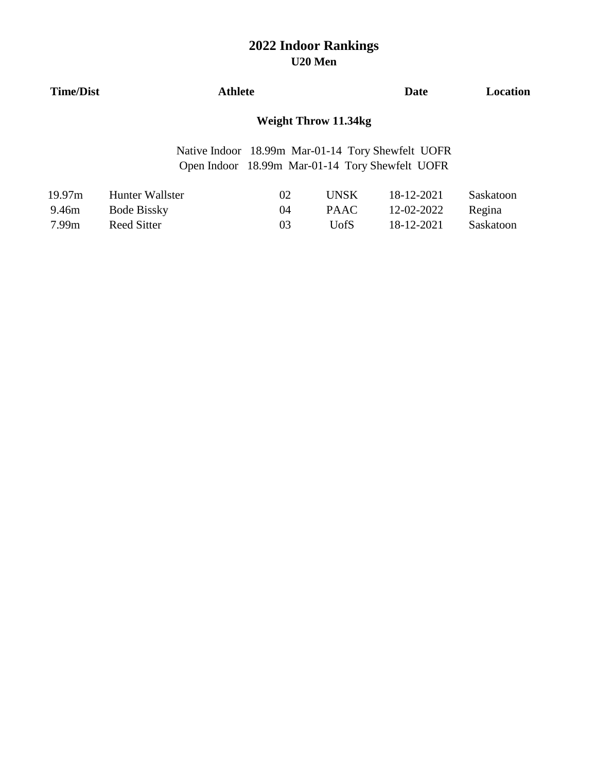| <b>Time/Dist</b> | Athlete                                                                                              | Date | Location |
|------------------|------------------------------------------------------------------------------------------------------|------|----------|
|                  | Weight Throw 11.34kg                                                                                 |      |          |
|                  | Native Indoor 18.99m Mar-01-14 Tory Shewfelt UOFR<br>Open Indoor 18.99m Mar-01-14 Tory Shewfelt UOFR |      |          |

| 19.97m | Hunter Wallster    | 02 | UNSK  | 18-12-2021 | Saskatoon |
|--------|--------------------|----|-------|------------|-----------|
| 9.46m  | <b>Bode Bissky</b> | 04 | PAAC. | 12-02-2022 | Regina    |
| 7.99m  | Reed Sitter        | 03 | UofS  | 18-12-2021 | Saskatoon |